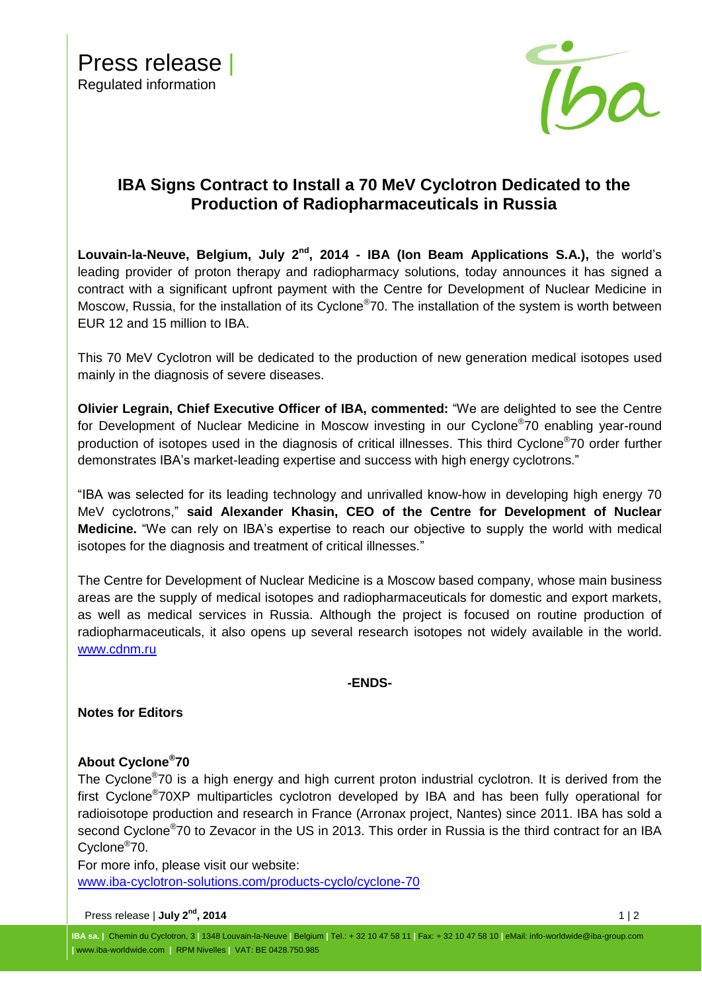

# **IBA Signs Contract to Install a 70 MeV Cyclotron Dedicated to the Production of Radiopharmaceuticals in Russia**

Louvain-la-Neuve, Belgium, July 2<sup>nd</sup>, 2014 - IBA [\(Ion Beam Applications S.A.\)](http://group.iba-worldwide.com/iba-solutions), the world's leading provider of proton therapy and radiopharmacy solutions, today announces it has signed a contract with a significant upfront payment with the Centre for Development of Nuclear Medicine in Moscow, Russia, for the installation of its Cyclone<sup>®</sup>70. The installation of the system is worth between EUR 12 and 15 million to IBA.

This 70 MeV Cyclotron will be dedicated to the production of new generation medical isotopes used mainly in the diagnosis of severe diseases.

**Olivier Legrain, Chief Executive Officer of IBA, commented:** "We are delighted to see the Centre for Development of Nuclear Medicine in Moscow investing in our Cyclone®70 enabling year-round production of isotopes used in the diagnosis of critical illnesses. This third Cyclone®70 order further demonstrates IBA's market-leading expertise and success with high energy cyclotrons."

"IBA was selected for its leading technology and unrivalled know-how in developing high energy 70 MeV cyclotrons," **said Alexander Khasin, CEO of the Centre for Development of Nuclear Medicine.** "We can rely on IBA's expertise to reach our objective to supply the world with medical isotopes for the diagnosis and treatment of critical illnesses."

The Centre for Development of Nuclear Medicine is a Moscow based company, whose main business areas are the supply of medical isotopes and radiopharmaceuticals for domestic and export markets, as well as medical services in Russia. Although the project is focused on routine production of radiopharmaceuticals, it also opens up several research isotopes not widely available in the world. [www.cdnm.ru](http://www.cdnm.ru/)

# **-ENDS-**

# **Notes for Editors**

# **About Cyclone® 70**

The Cyclone<sup>®</sup>70 is a high energy and high current proton industrial cyclotron. It is derived from the first Cyclone® 70XP multiparticles cyclotron developed by IBA and has been fully operational for radioisotope production and research in France (Arronax project, Nantes) since 2011. IBA has sold a second Cyclone<sup>®</sup>70 to Zevacor in the US in 2013. This order in Russia is the third contract for an IBA Cyclone® 70.

For more info, please visit our website: [www.iba-cyclotron-solutions.com/products-cyclo/cyclone-70](http://www.iba-cyclotron-solutions.com/products-cyclo/cyclone-70)

#### Press release | **July 2<sup>nd</sup>, 2014** 1 | 2